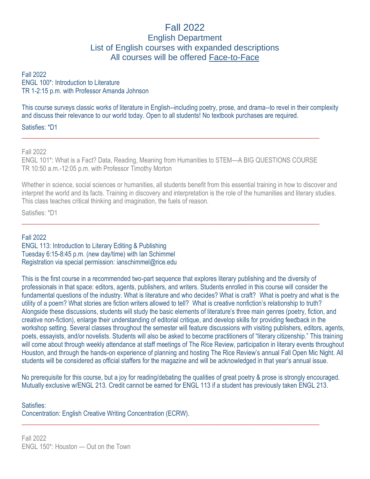# Fall 2022 English Department List of English courses with expanded descriptions All courses will be offered Face-to-Face

Fall 2022 ENGL 100\*: Introduction to Literature TR 1-2:15 p.m. with Professor Amanda Johnson

This course surveys classic works of literature in English--including poetry, prose, and drama--to revel in their complexity and discuss their relevance to our world today. Open to all students! No textbook purchases are required.

Satisfies: \*D1

Fall 2022

ENGL 101\*: What is a Fact? Data, Reading, Meaning from Humanities to STEM—A BIG QUESTIONS COURSE TR 10:50 a.m.-12:05 p.m. with Professor Timothy Morton

 $\_$  , and the set of the set of the set of the set of the set of the set of the set of the set of the set of the set of the set of the set of the set of the set of the set of the set of the set of the set of the set of th

 $\_$  , and the set of the set of the set of the set of the set of the set of the set of the set of the set of the set of the set of the set of the set of the set of the set of the set of the set of the set of the set of th

Whether in science, social sciences or humanities, all students benefit from this essential training in how to discover and interpret the world and its facts. Training in discovery and interpretation is the role of the humanities and literary studies. This class teaches critical thinking and imagination, the fuels of reason.

Satisfies: \*D1

#### Fall 2022

ENGL 113: Introduction to Literary Editing & Publishing Tuesday 6:15-8:45 p.m. (new day/time) with Ian Schimmel Registration via special permission: ianschimmel@rice.edu

This is the first course in a recommended two-part sequence that explores literary publishing and the diversity of professionals in that space: editors, agents, publishers, and writers. Students enrolled in this course will consider the fundamental questions of the industry. What is literature and who decides? What is craft? What is poetry and what is the utility of a poem? What stories are fiction writers allowed to tell? What is creative nonfiction's relationship to truth? Alongside these discussions, students will study the basic elements of literature's three main genres (poetry, fiction, and creative non-fiction), enlarge their understanding of editorial critique, and develop skills for providing feedback in the workshop setting. Several classes throughout the semester will feature discussions with visiting publishers, editors, agents, poets, essayists, and/or novelists. Students will also be asked to become practitioners of "literary citizenship." This training will come about through weekly attendance at staff meetings of The Rice Review, participation in literary events throughout Houston, and through the hands-on experience of planning and hosting The Rice Review's annual Fall Open Mic Night. All students will be considered as official staffers for the magazine and will be acknowledged in that year's annual issue.

No prerequisite for this course, but a joy for reading/debating the qualities of great poetry & prose is strongly encouraged. Mutually exclusive w/ENGL 213. Credit cannot be earned for ENGL 113 if a student has previously taken ENGL 213.

 $\_$  , and the set of the set of the set of the set of the set of the set of the set of the set of the set of the set of the set of the set of the set of the set of the set of the set of the set of the set of the set of th

#### Satisfies: Concentration: English Creative Writing Concentration (ECRW).

Fall 2022 ENGL 150\*: Houston — Out on the Town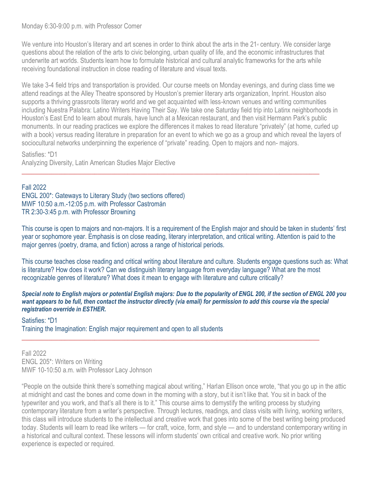## Monday 6:30-9:00 p.m. with Professor Comer

We venture into Houston's literary and art scenes in order to think about the arts in the  $21*$  century. We consider large questions about the relation of the arts to civic belonging, urban quality of life, and the economic infrastructures that underwrite art worlds. Students learn how to formulate historical and cultural analytic frameworks for the arts while receiving foundational instruction in close reading of literature and visual texts.

We take 3-4 field trips and transportation is provided. Our course meets on Monday evenings, and during class time we attend readings at the Alley Theatre sponsored by Houston's premier literary arts organization, Inprint. Houston also supports a thriving grassroots literary world and we get acquainted with less-known venues and writing communities including Nuestra Palabra: Latino Writers Having Their Say. We take one Saturday field trip into Latinx neighborhoods in Houston's East End to learn about murals, have lunch at a Mexican restaurant, and then visit Hermann Park's public monuments. In our reading practices we explore the differences it makes to read literature "privately" (at home, curled up with a book) versus reading literature in preparation for an event to which we go as a group and which reveal the layers of sociocultural networks underpinning the experience of "private" reading. Open to majors and non- majors.

 $\_$  , and the set of the set of the set of the set of the set of the set of the set of the set of the set of the set of the set of the set of the set of the set of the set of the set of the set of the set of the set of th

Satisfies: \*D1 Analyzing Diversity, Latin American Studies Major Elective

## Fall 2022

ENGL 200\*: Gateways to Literary Study (two sections offered) MWF 10:50 a.m.-12:05 p.m. with Professor Castromán TR 2:30-3:45 p.m. with Professor Browning

This course is open to majors and non-majors. It is a requirement of the English major and should be taken in students' first year or sophomore year. Emphasis is on close reading, literary interpretation, and critical writing. Attention is paid to the major genres (poetry, drama, and fiction) across a range of historical periods.

This course teaches close reading and critical writing about literature and culture. Students engage questions such as: What is literature? How does it work? Can we distinguish literary language from everyday language? What are the most recognizable genres of literature? What does it mean to engage with literature and culture critically?

#### *Special note to English majors or potential English majors: Due to the popularity of ENGL 200, if the section of ENGL 200 you* want appears to be full, then contact the instructor directly (via email) for permission to add this course via the special *registration override in ESTHER.*

 $\_$  , and the set of the set of the set of the set of the set of the set of the set of the set of the set of the set of the set of the set of the set of the set of the set of the set of the set of the set of the set of th

#### Satisfies: \*D1

Training the Imagination: English major requirement and open to all students

Fall 2022 ENGL 205\*: Writers on Writing MWF 10-10:50 a.m. with Professor Lacy Johnson

"People on the outside think there's something magical about writing," Harlan Ellison once wrote, "that you go up in the attic at midnight and cast the bones and come down in the morning with a story, but it isn't like that. You sit in back of the typewriter and you work, and that's all there is to it." This course aims to demystify the writing process by studying contemporary literature from a writer's perspective. Through lectures, readings, and class visits with living, working writers, this class will introduce students to the intellectual and creative work that goes into some of the best writing being produced today. Students will learn to read like writers — for craft, voice, form, and style — and to understand contemporary writing in a historical and cultural context. These lessons will inform students' own critical and creative work. No prior writing experience is expected or required.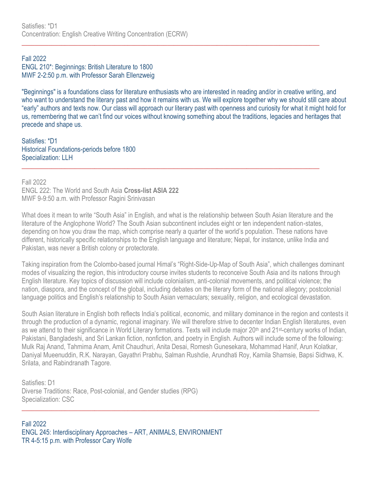## Fall 2022 ENGL 210\*: Beginnings: British Literature to 1800 MWF 2-2:50 p.m. with Professor Sarah Ellenzweig

"Beginnings" is a foundations class for literature enthusiasts who are interested in reading and/or in creative writing, and who want to understand the literary past and how it remains with us. We will explore together why we should still care about "early" authors and texts now. Our class will approach our literary past with openness and curiosity for what it might hold for us, remembering that we can't find our voices without knowing something about the traditions, legacies and heritages that precede and shape us.

 $\_$  , and the set of the set of the set of the set of the set of the set of the set of the set of the set of the set of the set of the set of the set of the set of the set of the set of the set of the set of the set of th

Satisfies: \*D1 Historical Foundations-periods before 1800 Specialization: LLH  $\_$  , and the set of the set of the set of the set of the set of the set of the set of the set of the set of the set of the set of the set of the set of the set of the set of the set of the set of the set of the set of th

Fall 2022 ENGL 222: The World and South Asia **Cross-list ASIA 222** MWF 9-9:50 a.m. with Professor Ragini Srinivasan

What does it mean to write "South Asia" in English, and what is the relationship between South Asian literature and the literature of the Anglophone World? The South Asian subcontinent includes eight or ten independent nation-states, depending on how you draw the map, which comprise nearly a quarter of the world's population. These nations have different, historically specific relationships to the English language and literature; Nepal, for instance, unlike India and Pakistan, was never a British colony or protectorate.

Taking inspiration from the Colombo-based journal Himal's "Right-Side-Up-Map of South Asia", which challenges dominant modes of visualizing the region, this introductory course invites students to reconceive South Asia and its nations through English literature. Key topics of discussion will include colonialism, anti-colonial movements, and political violence; the nation, diaspora, and the concept of the global, including debates on the literary form of the national allegory; postcolonial language politics and English's relationship to South Asian vernaculars; sexuality, religion, and ecological devastation.

South Asian literature in English both reflects India's political, economic, and military dominance in the region and contests it through the production of a dynamic, regional imaginary. We will therefore strive to decenter Indian English literatures, even as we attend to their significance in World Literary formations. Texts will include major 20<sup>th</sup> and 21<sup>st</sup>-century works of Indian, Pakistani, Bangladeshi, and Sri Lankan fiction, nonfiction, and poetry in English. Authors will include some of the following: Mulk Raj Anand, Tahmima Anam, Amit Chaudhuri, Anita Desai, Romesh Gunesekara, Mohammad Hanif, Arun Kolatkar, Daniyal Mueenuddin, R.K. Narayan, Gayathri Prabhu, Salman Rushdie, Arundhati Roy, Kamila Shamsie, Bapsi Sidhwa, K. Srilata, and Rabindranath Tagore.

Satisfies: D1 Diverse Traditions: Race, Post-colonial, and Gender studies (RPG) Specialization: CSC  $\_$  , and the set of the set of the set of the set of the set of the set of the set of the set of the set of the set of the set of the set of the set of the set of the set of the set of the set of the set of the set of th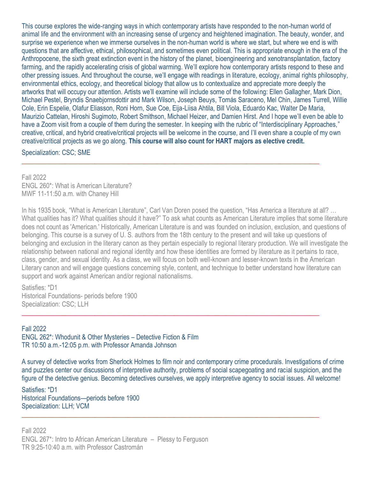This course explores the wide-ranging ways in which contemporary artists have responded to the non-human world of animal life and the environment with an increasing sense of urgency and heightened imagination. The beauty, wonder, and surprise we experience when we immerse ourselves in the non-human world is where we start, but where we end is with questions that are affective, ethical, philosophical, and sometimes even political. This is appropriate enough in the era of the Anthropocene, the sixth great extinction event in the history of the planet, bioengineering and xenotransplantation, factory farming, and the rapidly accelerating crisis of global warming. We'll explore how contemporary artists respond to these and other pressing issues. And throughout the course, we'll engage with readings in literature, ecology, animal rights philosophy, environmental ethics, ecology, and theoretical biology that allow us to contextualize and appreciate more deeply the artworks that will occupy our attention. Artists we'll examine will include some of the following: Ellen Gallagher, Mark Dion, Michael Pestel, Bryndis Snaebjornsdottir and Mark Wilson, Joseph Beuys, Tomás Saraceno, Mel Chin, James Turrell, Willie Cole, Erin Espelie, Olafur Eliasson, Roni Horn, Sue Coe, Eija-Liisa Ahtila, Bill Viola, Eduardo Kac, Walter De Maria, Maurizio Cattelan, Hiroshi Sugimoto, Robert Smithson, Michael Heizer, and Damien Hirst. And I hope we'll even be able to have a Zoom visit from a couple of them during the semester. In keeping with the rubric of "Interdisciplinary Approaches," creative, critical, and hybrid creative/critical projects will be welcome in the course, and I'll even share a couple of my own creative/critical projects as we go along. **This course will also count for HART majors as elective credit.**

 $\_$  , and the set of the set of the set of the set of the set of the set of the set of the set of the set of the set of the set of the set of the set of the set of the set of the set of the set of the set of the set of th

Specialization: CSC; SME

Fall 2022 ENGL 260\*: What is American Literature? MWF 11-11:50 a.m. with Chaney Hill

In his 1935 book, "What is American Literature", Carl Van Doren posed the question, "Has America a literature at all? … What qualities has it? What qualities should it have?" To ask what counts as American Literature implies that some literature does not count as 'American.' Historically, American Literature is and was founded on inclusion, exclusion, and questions of belonging. This course is a survey of U. S. authors from the 18th century to the present and will take up questions of belonging and exclusion in the literary canon as they pertain especially to regional literary production. We will investigate the relationship between national and regional identity and how these identities are formed by literature as it pertains to race, class, gender, and sexual identity. As a class, we will focus on both well-known and lesser-known texts in the American Literary canon and will engage questions concerning style, content, and technique to better understand how literature can support and work against American and/or regional nationalisms.

Satisfies: \*D1 Historical Foundations- periods before 1900 Specialization: CSC; LLH

### Fall 2022

ENGL 262\*: Whodunit & Other Mysteries – Detective Fiction & Film TR 10:50 a.m.-12:05 p.m. with Professor Amanda Johnson

A survey of detective works from Sherlock Holmes to film noir and contemporary crime procedurals. Investigations of crime and puzzles center our discussions of interpretive authority, problems of social scapegoating and racial suspicion, and the figure of the detective genius. Becoming detectives ourselves, we apply interpretive agency to social issues. All welcome!

 $\_$  , and the set of the set of the set of the set of the set of the set of the set of the set of the set of the set of the set of the set of the set of the set of the set of the set of the set of the set of the set of th

 $\_$  , and the set of the set of the set of the set of the set of the set of the set of the set of the set of the set of the set of the set of the set of the set of the set of the set of the set of the set of the set of th

Satisfies: \*D1 Historical Foundations—periods before 1900 Specialization: LLH; VCM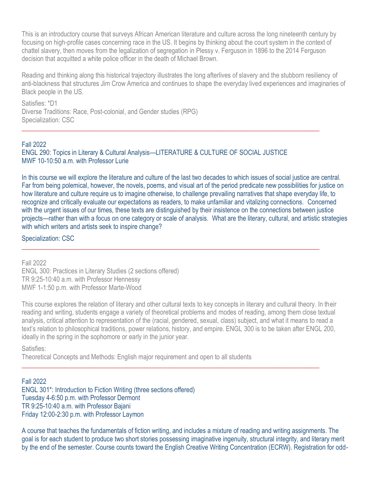This is an introductory course that surveys African American literature and culture across the long nineteenth century by focusing on high-profile cases concerning race in the US. It begins by thinking about the court system in the context of chattel slavery, then moves from the legalization of segregation in Plessy v. Ferguson in 1896 to the 2014 Ferguson decision that acquitted a white police officer in the death of Michael Brown.

Reading and thinking along this historical trajectory illustrates the long afterlives of slavery and the stubborn resiliency of anti-blackness that structures Jim Crow America and continues to shape the everyday lived experiences and imaginaries of Black people in the US.

Satisfies: \*D1 Diverse Traditions: Race, Post-colonial, and Gender studies (RPG) Specialization: CSC

### Fall 2022

ENGL 290: Topics in Literary & Cultural Analysis—LITERATURE & CULTURE OF SOCIAL JUSTICE MWF 10-10:50 a.m. with Professor Lurie

 $\_$  , and the set of the set of the set of the set of the set of the set of the set of the set of the set of the set of the set of the set of the set of the set of the set of the set of the set of the set of the set of th

In this course we will explore the literature and culture of the last two decades to which issues of social justice are central. Far from being polemical, however, the novels, poems, and visual art of the period predicate new possibilities for justice on how literature and culture require us to imagine otherwise, to challenge prevailing narratives that shape everyday life, to recognize and critically evaluate our expectations as readers, to make unfamiliar and vitalizing connections. Concerned with the urgent issues of our times, these texts are distinguished by their insistence on the connections between justice projects—rather than with a focus on one category or scale of analysis. What are the literary, cultural, and artistic strategies with which writers and artists seek to inspire change?

 $\_$  , and the set of the set of the set of the set of the set of the set of the set of the set of the set of the set of the set of the set of the set of the set of the set of the set of the set of the set of the set of th

## Specialization: CSC

Fall 2022 ENGL 300: Practices in Literary Studies (2 sections offered) TR 9:25-10:40 a.m. with Professor Hennessy MWF 1-1:50 p.m. with Professor Marte-Wood

This course explores the relation of literary and other cultural texts to key concepts in literary and cultural theory. In their reading and writing, students engage a variety of theoretical problems and modes of reading, among them close textual analysis, critical attention to representation of the (racial, gendered, sexual, class) subject, and what it means to read a text's relation to philosophical traditions, power relations, history, and empire. ENGL 300 is to be taken after ENGL 200, ideally in the spring in the sophomore or early in the junior year.

 $\_$  , and the set of the set of the set of the set of the set of the set of the set of the set of the set of the set of the set of the set of the set of the set of the set of the set of the set of the set of the set of th

Satisfies:

Theoretical Concepts and Methods: English major requirement and open to all students

Fall 2022 ENGL 301\*: Introduction to Fiction Writing (three sections offered) Tuesday 4-6:50 p.m. with Professor Dermont TR 9:25-10:40 a.m. with Professor Bajani Friday 12:00-2:30 p.m. with Professor Laymon

A course that teaches the fundamentals of fiction writing, and includes a mixture of reading and writing assignments. The goal is for each student to produce two short stories possessing imaginative ingenuity, structural integrity, and literary merit by the end of the semester. Course counts toward the English Creative Writing Concentration (ECRW). Registration for odd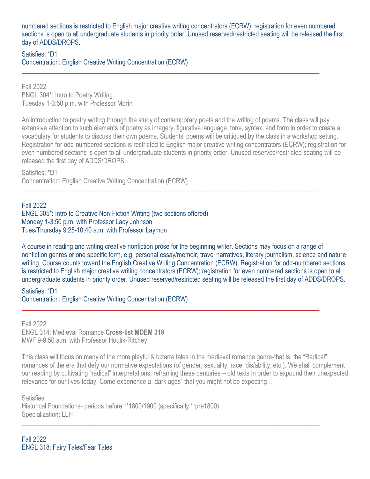numbered sections is restricted to English major creative writing concentrators (ECRW); registration for even numbered sections is open to all undergraduate students in priority order. Unused reserved/restricted seating will be released the first day of ADDS/DROPS.

 $\_$  , and the set of the set of the set of the set of the set of the set of the set of the set of the set of the set of the set of the set of the set of the set of the set of the set of the set of the set of the set of th

Satisfies: \*D1 Concentration: English Creative Writing Concentration (ECRW)

Fall 2022 ENGL 304\*: Intro to Poetry Writing Tuesday 1-3:50 p.m. with Professor Morín

An introduction to poetry writing through the study of contemporary poets and the writing of poems. The class will pay extensive attention to such elements of poetry as imagery, figurative language, tone, syntax, and form in order to create a vocabulary for students to discuss their own poems. Students' poems will be critiqued by the class in a workshop setting. Registration for odd-numbered sections is restricted to English major creative writing concentrators (ECRW); registration for even numbered sections is open to all undergraduate students in priority order. Unused reserved/restricted seating will be released the first day of ADDS/DROPS.

 $\_$  , and the set of the set of the set of the set of the set of the set of the set of the set of the set of the set of the set of the set of the set of the set of the set of the set of the set of the set of the set of th

Satisfies: \*D1 Concentration: English Creative Writing Concentration (ECRW)

Fall 2022

ENGL 305\*: Intro to Creative Non-Fiction Writing (two sections offered) Monday 1-3:50 p.m. with Professor Lacy Johnson Tues/Thursday 9:25-10:40 a.m. with Professor Laymon

A course in reading and writing creative nonfiction prose for the beginning writer. Sections may focus on a range of nonfiction genres or one specific form, e.g. personal essay/memoir, travel narratives, literary journalism, science and nature writing. Course counts toward the English Creative Writing Concentration (ECRW). Registration for odd-numbered sections is restricted to English major creative writing concentrators (ECRW); registration for even numbered sections is open to all undergraduate students in priority order. Unused reserved/restricted seating will be released the first day of ADDS/DROPS.

Satisfies: \*D1 Concentration: English Creative Writing Concentration (ECRW)  $\_$  , and the set of the set of the set of the set of the set of the set of the set of the set of the set of the set of the set of the set of the set of the set of the set of the set of the set of the set of the set of th

Fall 2022 ENGL 314: Medieval Romance **Cross-list MDEM 319** MWF 9-9:50 a.m. with Professor Houlik-Ritchey

This class will focus on many of the more playful & bizarre tales in the medieval romance genre-that is, the "Radical" romances of the era that defy our normative expectations (of gender, sexuality, race, dis/ability, etc.). We shall complement our reading by cultivating "radical" interpretations, reframing these centuries – old texts in order to expound their unexpected relevance for our lives today. Come experience a "dark ages" that you might not be expecting…

 $\_$  , and the set of the set of the set of the set of the set of the set of the set of the set of the set of the set of the set of the set of the set of the set of the set of the set of the set of the set of the set of th

Satisfies: Historical Foundations- periods before \*\*1800/1900 (specifically \*\*pre1800) Specialization: LLH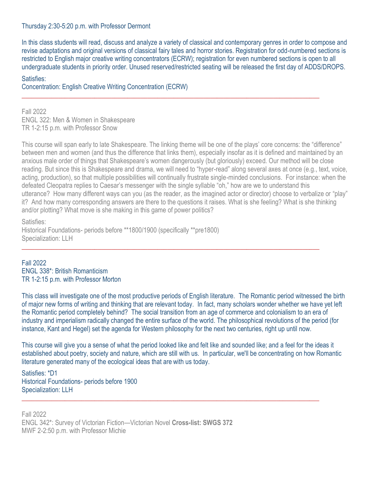## Thursday 2:30-5:20 p.m. with Professor Dermont

In this class students will read, discuss and analyze a variety of classical and contemporary genres in order to compose and revise adaptations and original versions of classical fairy tales and horror stories. Registration for odd-numbered sections is restricted to English major creative writing concentrators (ECRW); registration for even numbered sections is open to all undergraduate students in priority order. Unused reserved/restricted seating will be released the first day of ADDS/DROPS.

 $\_$  , and the set of the set of the set of the set of the set of the set of the set of the set of the set of the set of the set of the set of the set of the set of the set of the set of the set of the set of the set of th

#### Satisfies:

Concentration: English Creative Writing Concentration (ECRW)

Fall 2022 ENGL 322: Men & Women in Shakespeare TR 1-2:15 p.m. with Professor Snow

This course will span early to late Shakespeare. The linking theme will be one of the plays' core concerns: the "difference" between men and women (and thus the difference that links them), especially insofar as it is defined and maintained by an anxious male order of things that Shakespeare's women dangerously (but gloriously) exceed. Our method will be close reading. But since this is Shakespeare and drama, we will need to "hyper-read" along several axes at once (e.g., text, voice, acting, production), so that multiple possibilities will continually frustrate single-minded conclusions. For instance: when the defeated Cleopatra replies to Caesar's messenger with the single syllable "oh," how are we to understand this utterance? How many different ways can you (as the reader, as the imagined actor or director) choose to verbalize or "play" it? And how many corresponding answers are there to the questions it raises. What is she feeling? What is she thinking and/or plotting? What move is she making in this game of power politics?

Satisfies:

Historical Foundations- periods before \*\*1800/1900 (specifically \*\*pre1800) Specialization: LLH

Fall 2022 ENGL 338\*: British Romanticism TR 1-2:15 p.m. with Professor Morton

This class will investigate one of the most productive periods of English literature. The Romantic period witnessed the birth of major new forms of writing and thinking that are relevant today. In fact, many scholars wonder whether we have yet left the Romantic period completely behind? The social transition from an age of commerce and colonialism to an era of industry and imperialism radically changed the entire surface of the world. The philosophical revolutions of the period (for instance, Kant and Hegel) set the agenda for Western philosophy for the next two centuries, right up until now.

 $\_$  , and the set of the set of the set of the set of the set of the set of the set of the set of the set of the set of the set of the set of the set of the set of the set of the set of the set of the set of the set of th

This course will give you a sense of what the period looked like and felt like and sounded like; and a feel for the ideas it established about poetry, society and nature, which are still with us. In particular, we'll be concentrating on how Romantic literature generated many of the ecological ideas that are with us today.

\_\_\_\_\_\_\_\_\_\_\_\_\_\_\_\_\_\_\_\_\_\_\_\_\_\_\_\_\_\_\_\_\_\_\_\_\_\_\_\_\_\_\_\_\_\_\_\_\_\_\_\_\_\_\_\_\_\_\_\_\_\_\_\_\_\_\_\_\_\_\_\_\_\_\_\_\_\_\_\_\_\_\_\_\_\_\_\_\_\_

Satisfies: \*D1 Historical Foundations- periods before 1900 Specialization: LLH

Fall 2022 ENGL 342\*: Survey of Victorian Fiction—Victorian Novel **Cross-list: SWGS 372** MWF 2-2:50 p.m. with Professor Michie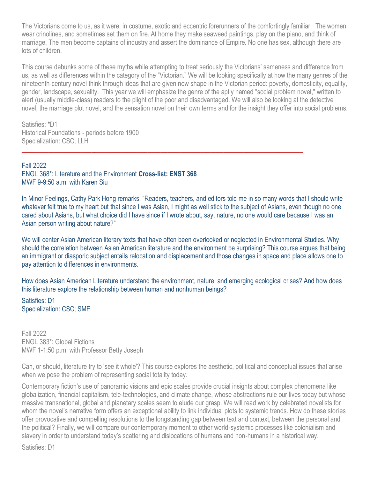The Victorians come to us, as it were, in costume, exotic and eccentric forerunners of the comfortingly familiar. The women wear crinolines, and sometimes set them on fire. At home they make seaweed paintings, play on the piano, and think of marriage. The men become captains of industry and assert the dominance of Empire. No one has sex, although there are lots of children.

This course debunks some of these myths while attempting to treat seriously the Victorians' sameness and difference from us, as well as differences within the category of the "Victorian." We will be looking specifically at how the many genres of the nineteenth-century novel think through ideas that are given new shape in the Victorian period: poverty, domesticity, equality, gender, landscape, sexuality. This year we will emphasize the genre of the aptly named "social problem novel," written to alert (usually middle-class) readers to the plight of the poor and disadvantaged. We will also be looking at the detective novel, the marriage plot novel, and the sensation novel on their own terms and for the insight they offer into social problems.

Satisfies: \*D1 Historical Foundations - periods before 1900 Specialization: CSC; LLH

Fall 2022 ENGL 368\*: Literature and the Environment **Cross-list: ENST 368** MWF 9-9:50 a.m. with Karen Siu

In Minor Feelings, Cathy Park Hong remarks, "Readers, teachers, and editors told me in so many words that I should write whatever felt true to my heart but that since I was Asian, I might as well stick to the subject of Asians, even though no one cared about Asians, but what choice did I have since if I wrote about, say, nature, no one would care because I was an Asian person writing about nature?"

 $\_$  , and the set of the set of the set of the set of the set of the set of the set of the set of the set of the set of the set of the set of the set of the set of the set of the set of the set of the set of the set of th

We will center Asian American literary texts that have often been overlooked or neglected in Environmental Studies. Why should the correlation between Asian American literature and the environment be surprising? This course argues that being an immigrant or diasporic subject entails relocation and displacement and those changes in space and place allows one to pay attention to differences in environments.

How does Asian American Literature understand the environment, nature, and emerging ecological crises? And how does this literature explore the relationship between human and nonhuman beings?

 $\_$  , and the set of the set of the set of the set of the set of the set of the set of the set of the set of the set of the set of the set of the set of the set of the set of the set of the set of the set of the set of th

Satisfies: D1 Specialization: CSC; SME

Fall 2022 ENGL 383\*: Global Fictions MWF 1-1:50 p.m. with Professor Betty Joseph

Can, or should, literature try to 'see it whole'? This course explores the aesthetic, political and conceptual issues that arise when we pose the problem of representing social totality today.

Contemporary fiction's use of panoramic visions and epic scales provide crucial insights about complex phenomena like globalization, financial capitalism, tele-technologies, and climate change, whose abstractions rule our lives today but whose massive transnational, global and planetary scales seem to elude our grasp. We will read work by celebrated novelists for whom the novel's narrative form offers an exceptional ability to link individual plots to systemic trends. How do these stories offer provocative and compelling resolutions to the longstanding gap between text and context, between the personal and the political? Finally, we will compare our contemporary moment to other world-systemic processes like colonialism and slavery in order to understand today's scattering and dislocations of humans and non-humans in a historical way.

Satisfies: D1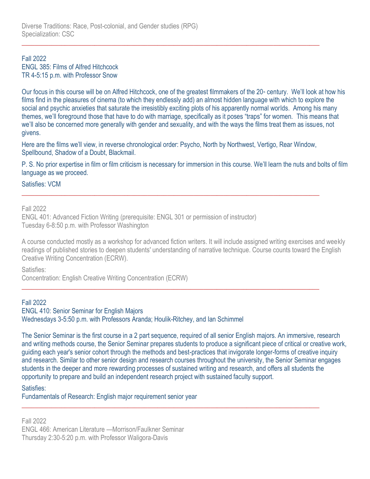### Fall 2022 ENGL 385: Films of Alfred Hitchcock TR 4-5:15 p.m. with Professor Snow

Our focus in this course will be on Alfred Hitchcock, one of the greatest filmmakers of the  $20*$  century. We'll look at how his films find in the pleasures of cinema (to which they endlessly add) an almost hidden language with which to explore the social and psychic anxieties that saturate the irresistibly exciting plots of his apparently normal worlds. Among his many themes, we'll foreground those that have to do with marriage, specifically as it poses "traps" for women. This means that we'll also be concerned more generally with gender and sexuality, and with the ways the films treat them as issues, not givens.

Here are the films we'll view, in reverse chronological order: Psycho, North by Northwest, Vertigo, Rear Window, Spellbound, Shadow of a Doubt, Blackmail.

 $\_$  , and the set of the set of the set of the set of the set of the set of the set of the set of the set of the set of the set of the set of the set of the set of the set of the set of the set of the set of the set of th

\_\_\_\_\_\_\_\_\_\_\_\_\_\_\_\_\_\_\_\_\_\_\_\_\_\_\_\_\_\_\_\_\_\_\_\_\_\_\_\_\_\_\_\_\_\_\_\_\_\_\_\_\_\_\_\_\_\_\_\_\_\_\_\_\_\_\_\_\_\_\_\_\_\_\_\_\_\_\_\_\_\_\_\_\_\_\_\_\_\_

 $\_$  , and the set of the set of the set of the set of the set of the set of the set of the set of the set of the set of the set of the set of the set of the set of the set of the set of the set of the set of the set of th

\_\_\_\_\_\_\_\_\_\_\_\_\_\_\_\_\_\_\_\_\_\_\_\_\_\_\_\_\_\_\_\_\_\_\_\_\_\_\_\_\_\_\_\_\_\_\_\_\_\_\_\_\_\_\_\_\_\_\_\_\_\_\_\_\_\_\_\_\_\_\_\_\_\_\_\_\_\_\_\_\_\_\_\_\_\_\_\_\_\_

P. S. No prior expertise in film or film criticism is necessary for immersion in this course. We'll learn the nuts and bolts of film language as we proceed.

Satisfies: VCM

Fall 2022

ENGL 401: Advanced Fiction Writing (prerequisite: ENGL 301 or permission of instructor) Tuesday 6-8:50 p.m. with Professor Washington

A course conducted mostly as a workshop for advanced fiction writers. It will include assigned writing exercises and weekly readings of published stories to deepen students' understanding of narrative technique. Course counts toward the English Creative Writing Concentration (ECRW).

Satisfies:

Concentration: English Creative Writing Concentration (ECRW)

# Fall 2022

ENGL 410: Senior Seminar for English Majors Wednesdays 3-5:50 p.m. with Professors Aranda; Houlik-Ritchey, and Ian Schimmel

The Senior Seminar is the first course in a 2 part sequence, required of all senior English majors. An immersive, research and writing methods course, the Senior Seminar prepares students to produce a significant piece of critical or creative work, guiding each year's senior cohort through the methods and best-practices that invigorate longer-forms of creative inquiry and research. Similar to other senior design and research courses throughout the university, the Senior Seminar engages students in the deeper and more rewarding processes of sustained writing and research, and offers all students the opportunity to prepare and build an independent research project with sustained faculty support.

# Satisfies:

Fundamentals of Research: English major requirement senior year

Fall 2022 ENGL 466: American Literature —Morrison/Faulkner Seminar Thursday 2:30-5:20 p.m. with Professor Waligora-Davis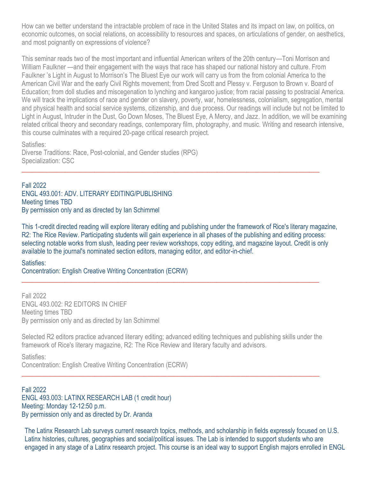How can we better understand the intractable problem of race in the United States and its impact on law, on politics, on economic outcomes, on social relations, on accessibility to resources and spaces, on articulations of gender, on aesthetics, and most poignantly on expressions of violence?

This seminar reads two of the most important and influential American writers of the 20th century—Toni Morrison and William Faulkner —and their engagement with the ways that race has shaped our national history and culture. From Faulkner 's Light in August to Morrison's The Bluest Eye our work will carry us from the from colonial America to the American Civil War and the early Civil Rights movement; from Dred Scott and Plessy v. Ferguson to Brown v. Board of Education; from doll studies and miscegenation to lynching and kangaroo justice; from racial passing to postracial America. We will track the implications of race and gender on slavery, poverty, war, homelessness, colonialism, segregation, mental and physical health and social service systems, citizenship, and due process. Our readings will include but not be limited to Light in August, Intruder in the Dust, Go Down Moses, The Bluest Eye, A Mercy, and Jazz. In addition, we will be examining related critical theory and secondary readings, contemporary film, photography, and music. Writing and research intensive, this course culminates with a required 20-page critical research project.

Satisfies:

Diverse Traditions: Race, Post-colonial, and Gender studies (RPG) Specialization: CSC

Fall 2022 ENGL 493.001: ADV. LITERARY EDITING/PUBLISHING Meeting times TBD By permission only and as directed by Ian Schimmel

This 1-credit directed reading will explore literary editing and publishing under the framework of Rice's literary magazine, R2: The Rice Review. Participating students will gain experience in all phases of the publishing and editing process: selecting notable works from slush, leading peer review workshops, copy editing, and magazine layout. Credit is only available to the journal's nominated section editors, managing editor, and editor-in-chief.

 $\_$  , and the set of the set of the set of the set of the set of the set of the set of the set of the set of the set of the set of the set of the set of the set of the set of the set of the set of the set of the set of th

Satisfies:

Concentration: English Creative Writing Concentration (ECRW)

Fall 2022 ENGL 493.002: R2 EDITORS IN CHIEF Meeting times TBD By permission only and as directed by Ian Schimmel

Selected R2 editors practice advanced literary editing; advanced editing techniques and publishing skills under the framework of Rice's literary magazine, R2: The Rice Review and literary faculty and advisors.

 $\_$  , and the set of the set of the set of the set of the set of the set of the set of the set of the set of the set of the set of the set of the set of the set of the set of the set of the set of the set of the set of th

\_\_\_\_\_\_\_\_\_\_\_\_\_\_\_\_\_\_\_\_\_\_\_\_\_\_\_\_\_\_\_\_\_\_\_\_\_\_\_\_\_\_\_\_\_\_\_\_\_\_\_\_\_\_\_\_\_\_\_\_\_\_\_\_\_\_\_\_\_\_\_\_\_\_\_\_\_\_\_\_\_\_\_\_\_\_\_\_\_\_

Satisfies: Concentration: English Creative Writing Concentration (ECRW)

Fall 2022 ENGL 493.003: LATINX RESEARCH LAB (1 credit hour) Meeting: Monday 12-12:50 p.m. By permission only and as directed by Dr. Aranda

The Latinx Research Lab surveys current research topics, methods, and scholarship in fields expressly focused on U.S. Latinx histories, cultures, geographies and social/political issues. The Lab is intended to support students who are engaged in any stage of a Latinx research project. This course is an ideal way to support English majors enrolled in ENGL